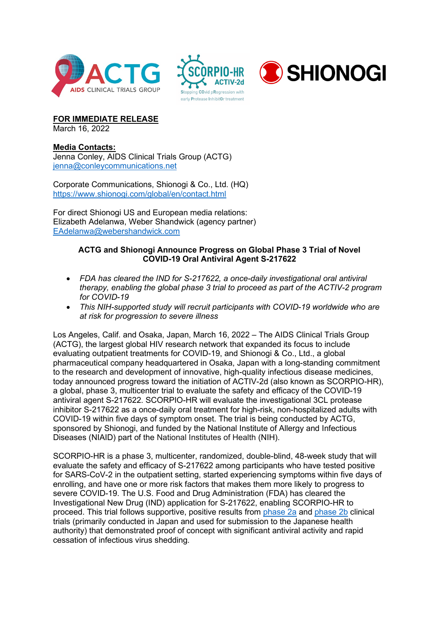





**FOR IMMEDIATE RELEASE**

March 16, 2022

**Media Contacts:** Jenna Conley, AIDS Clinical Trials Group (ACTG) [jenna@conleycommunications.net](mailto:jenna@conleycommunications.net)

Corporate Communications, Shionogi & Co., Ltd. (HQ) <https://www.shionogi.com/global/en/contact.html>

For direct Shionogi US and European media relations: Elizabeth Adelanwa, Weber Shandwick (agency partner) [EAdelanwa@webershandwick.com](mailto:EAdelanwa@webershandwick.com)

# **ACTG and Shionogi Announce Progress on Global Phase 3 Trial of Novel COVID-19 Oral Antiviral Agent S-217622**

- *FDA has cleared the IND for S-217622, a once-daily investigational oral antiviral therapy, enabling the global phase 3 trial to proceed as part of the ACTIV-2 program for COVID-19*
- *This NIH-supported study will recruit participants with COVID-19 worldwide who are at risk for progression to severe illness*

Los Angeles, Calif. and Osaka, Japan, March 16, 2022 – The AIDS Clinical Trials Group (ACTG), the largest global HIV research network that expanded its focus to include evaluating outpatient treatments for COVID-19, and Shionogi & Co., Ltd., a global pharmaceutical company headquartered in Osaka, Japan with a long-standing commitment to the research and development of innovative, high-quality infectious disease medicines, today announced progress toward the initiation of ACTIV-2d (also known as SCORPIO-HR), a global, phase 3, multicenter trial to evaluate the safety and efficacy of the COVID-19 antiviral agent S-217622. SCORPIO-HR will evaluate the investigational 3CL protease inhibitor S-217622 as a once-daily oral treatment for high-risk, non-hospitalized adults with COVID-19 within five days of symptom onset. The trial is being conducted by ACTG, sponsored by Shionogi, and funded by the National Institute of Allergy and Infectious Diseases (NIAID) part of the National Institutes of Health (NIH).

SCORPIO-HR is a phase 3, multicenter, randomized, double-blind, 48-week study that will evaluate the safety and efficacy of S-217622 among participants who have tested positive for SARS-CoV-2 in the outpatient setting, started experiencing symptoms within five days of enrolling, and have one or more risk factors that makes them more likely to progress to severe COVID-19. The U.S. Food and Drug Administration (FDA) has cleared the Investigational New Drug (IND) application for S-217622, enabling SCORPIO-HR to proceed. This trial follows supportive, positive results from [phase 2a](https://www.shionogi.com/global/en/news/2022/2/e-20220207.html) and [phase 2b](https://www.shionogi.com/global/en/news/2022/2/220225.html) clinical trials (primarily conducted in Japan and used for submission to the Japanese health authority) that demonstrated proof of concept with significant antiviral activity and rapid cessation of infectious virus shedding.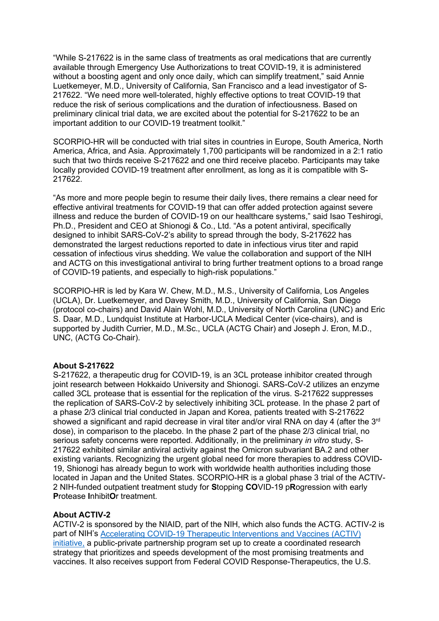"While S-217622 is in the same class of treatments as oral medications that are currently available through Emergency Use Authorizations to treat COVID-19, it is administered without a boosting agent and only once daily, which can simplify treatment," said Annie Luetkemeyer, M.D., University of California, San Francisco and a lead investigator of S-217622. "We need more well-tolerated, highly effective options to treat COVID-19 that reduce the risk of serious complications and the duration of infectiousness. Based on preliminary clinical trial data, we are excited about the potential for S-217622 to be an important addition to our COVID-19 treatment toolkit."

SCORPIO-HR will be conducted with trial sites in countries in Europe, South America, North America, Africa, and Asia. Approximately 1,700 participants will be randomized in a 2:1 ratio such that two thirds receive S-217622 and one third receive placebo. Participants may take locally provided COVID-19 treatment after enrollment, as long as it is compatible with S-217622.

"As more and more people begin to resume their daily lives, there remains a clear need for effective antiviral treatments for COVID-19 that can offer added protection against severe illness and reduce the burden of COVID-19 on our healthcare systems," said Isao Teshirogi, Ph.D., President and CEO at Shionogi & Co., Ltd. "As a potent antiviral, specifically designed to inhibit SARS-CoV-2's ability to spread through the body, S-217622 has demonstrated the largest reductions reported to date in infectious virus titer and rapid cessation of infectious virus shedding. We value the collaboration and support of the NIH and ACTG on this investigational antiviral to bring further treatment options to a broad range of COVID-19 patients, and especially to high-risk populations."

SCORPIO-HR is led by Kara W. Chew, M.D., M.S., University of California, Los Angeles (UCLA), Dr. Luetkemeyer, and Davey Smith, M.D., University of California, San Diego (protocol co-chairs) and David Alain Wohl, M.D., University of North Carolina (UNC) and Eric S. Daar, M.D., Lundquist Institute at Harbor-UCLA Medical Center (vice-chairs), and is supported by Judith Currier, M.D., M.Sc., UCLA (ACTG Chair) and Joseph J. Eron, M.D., UNC, (ACTG Co-Chair).

#### **About S-217622**

S-217622, a therapeutic drug for COVID-19, is an 3CL protease inhibitor created through joint research between Hokkaido University and Shionogi. SARS-CoV-2 utilizes an enzyme called 3CL protease that is essential for the replication of the virus. S-217622 suppresses the replication of SARS-CoV-2 by selectively inhibiting 3CL protease. In the phase 2 part of a phase 2/3 clinical trial conducted in Japan and Korea, patients treated with S-217622 showed a significant and rapid decrease in viral titer and/or viral RNA on day 4 (after the 3<sup>rd</sup> dose), in comparison to the placebo. In the phase 2 part of the phase 2/3 clinical trial, no serious safety concerns were reported. Additionally, in the preliminary *in vitro* study, S-217622 exhibited similar antiviral activity against the Omicron subvariant BA.2 and other existing variants. Recognizing the urgent global need for more therapies to address COVID-19, Shionogi has already begun to work with worldwide health authorities including those located in Japan and the United States. SCORPIO-HR is a global phase 3 trial of the ACTIV-2 NIH-funded outpatient treatment study for **S**topping **CO**VID-19 p**R**ogression with early **P**rotease **I**nhibit**O**r treatment.

### **About ACTIV-2**

ACTIV-2 is sponsored by the NIAID, part of the NIH, which also funds the ACTG. ACTIV-2 is part of NIH's [Accelerating COVID-19 Therapeutic Interventions and Vaccines \(ACTIV\)](https://www.nih.gov/research-training/medical-research-initiatives/activ) [initiative,](https://www.nih.gov/research-training/medical-research-initiatives/activ) a public-private partnership program set up to create a coordinated research strategy that prioritizes and speeds development of the most promising treatments and vaccines. It also receives support from Federal COVID Response-Therapeutics, the U.S.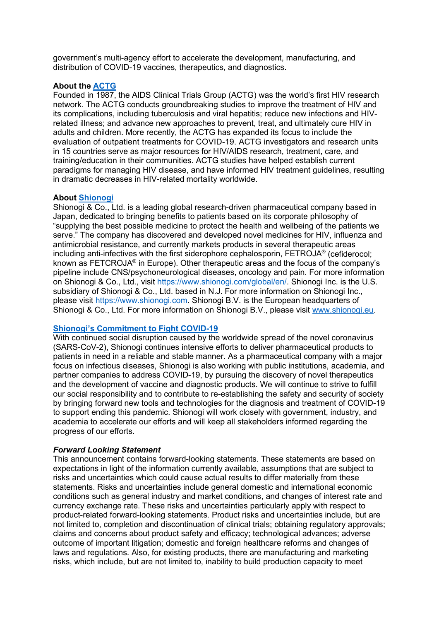government's multi-agency effort to accelerate the development, manufacturing, and distribution of COVID-19 vaccines, therapeutics, and diagnostics.

## **About the [ACTG](http://www.actgnetwork.org/)**

Founded in 1987, the AIDS Clinical Trials Group (ACTG) was the world's first HIV research network. The ACTG conducts groundbreaking studies to improve the treatment of HIV and its complications, including tuberculosis and viral hepatitis; reduce new infections and HIVrelated illness; and advance new approaches to prevent, treat, and ultimately cure HIV in adults and children. More recently, the ACTG has expanded its focus to include the evaluation of outpatient treatments for COVID-19. ACTG investigators and research units in 15 countries serve as major resources for HIV/AIDS research, treatment, care, and training/education in their communities. ACTG studies have helped establish current paradigms for managing HIV disease, and have informed HIV treatment guidelines, resulting in dramatic decreases in HIV-related mortality worldwide.

### **About [Shionogi](https://www.shionogi.com/global/en/)**

Shionogi & Co., Ltd. is a leading global research-driven pharmaceutical company based in Japan, dedicated to bringing benefits to patients based on its corporate philosophy of "supplying the best possible medicine to protect the health and wellbeing of the patients we serve." The company has discovered and developed novel medicines for HIV, influenza and antimicrobial resistance, and currently markets products in several therapeutic areas including anti-infectives with the first siderophore cephalosporin, FETROJA® (cefiderocol; known as FETCROJA® in Europe). Other therapeutic areas and the focus of the company's pipeline include CNS/psychoneurological diseases, oncology and pain. For more information on Shionogi & Co., Ltd., visit [https://www.shionogi.com/global/en/.](https://www.shionogi.com/global/en/) Shionogi Inc. is the U.S. subsidiary of Shionogi & Co., Ltd. based in N.J. For more information on Shionogi Inc., please visit [https://www.shionogi.com.](https://www.shionogi.com/) Shionogi B.V. is the European headquarters of Shionogi & Co., Ltd. For more information on Shionogi B.V., please visit [www.shionogi.eu.](http://www.shionogi.eu/)

#### **[Shionogi's Commitment to Fight COVID-19](https://www.shionogi.com/global/en/sustainability/information-for-id/covid19-initiative.html)**

With continued social disruption caused by the worldwide spread of the novel coronavirus (SARS-CoV-2), Shionogi continues intensive efforts to deliver pharmaceutical products to patients in need in a reliable and stable manner. As a pharmaceutical company with a major focus on infectious diseases, Shionogi is also working with public institutions, academia, and partner companies to address COVID-19, by pursuing the discovery of novel therapeutics and the development of vaccine and diagnostic products. We will continue to strive to fulfill our social responsibility and to contribute to re-establishing the safety and security of society by bringing forward new tools and technologies for the diagnosis and treatment of COVID-19 to support ending this pandemic. Shionogi will work closely with government, industry, and academia to accelerate our efforts and will keep all stakeholders informed regarding the progress of our efforts.

# *Forward Looking Statement*

This announcement contains forward-looking statements. These statements are based on expectations in light of the information currently available, assumptions that are subject to risks and uncertainties which could cause actual results to differ materially from these statements. Risks and uncertainties include general domestic and international economic conditions such as general industry and market conditions, and changes of interest rate and currency exchange rate. These risks and uncertainties particularly apply with respect to product-related forward-looking statements. Product risks and uncertainties include, but are not limited to, completion and discontinuation of clinical trials; obtaining regulatory approvals; claims and concerns about product safety and efficacy; technological advances; adverse outcome of important litigation; domestic and foreign healthcare reforms and changes of laws and regulations. Also, for existing products, there are manufacturing and marketing risks, which include, but are not limited to, inability to build production capacity to meet